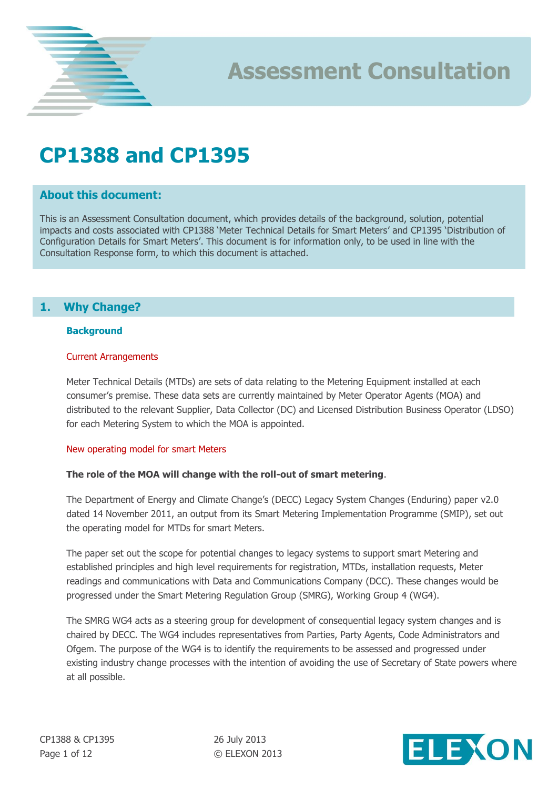

## **CP1388 and CP1395**

## **About this document:**

This is an Assessment Consultation document, which provides details of the background, solution, potential impacts and costs associated with CP1388 'Meter Technical Details for Smart Meters' and CP1395 'Distribution of Configuration Details for Smart Meters'. This document is for information only, to be used in line with the Consultation Response form, to which this document is attached.

## **1. Why Change?**

### **Background**

#### Current Arrangements

Meter Technical Details (MTDs) are sets of data relating to the Metering Equipment installed at each consumer's premise. These data sets are currently maintained by Meter Operator Agents (MOA) and distributed to the relevant Supplier, Data Collector (DC) and Licensed Distribution Business Operator (LDSO) for each Metering System to which the MOA is appointed.

#### New operating model for smart Meters

#### **The role of the MOA will change with the roll-out of smart metering**.

The Department of Energy and Climate Change's (DECC) Legacy System Changes (Enduring) paper v2.0 dated 14 November 2011, an output from its Smart Metering Implementation Programme (SMIP), set out the operating model for MTDs for smart Meters.

The paper set out the scope for potential changes to legacy systems to support smart Metering and established principles and high level requirements for registration, MTDs, installation requests, Meter readings and communications with Data and Communications Company (DCC). These changes would be progressed under the Smart Metering Regulation Group (SMRG), Working Group 4 (WG4).

The SMRG WG4 acts as a steering group for development of consequential legacy system changes and is chaired by DECC. The WG4 includes representatives from Parties, Party Agents, Code Administrators and Ofgem. The purpose of the WG4 is to identify the requirements to be assessed and progressed under existing industry change processes with the intention of avoiding the use of Secretary of State powers where at all possible.

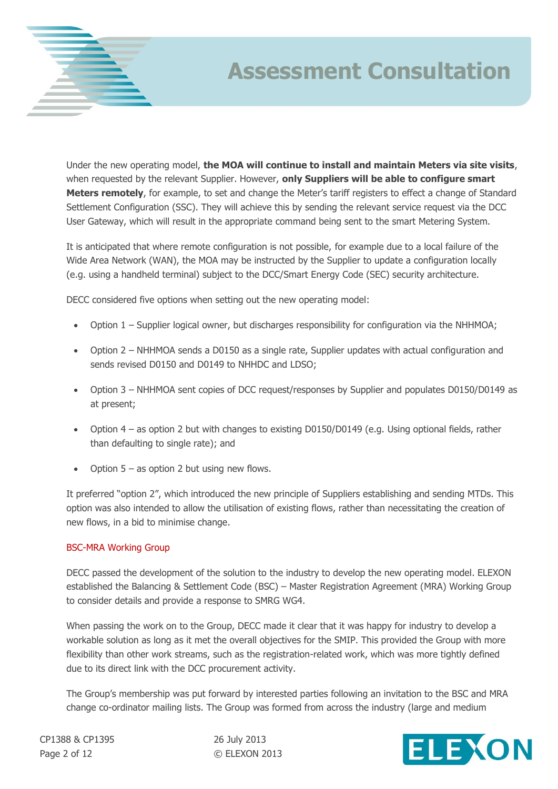

Under the new operating model, **the MOA will continue to install and maintain Meters via site visits**, when requested by the relevant Supplier. However, **only Suppliers will be able to configure smart Meters remotely**, for example, to set and change the Meter's tariff registers to effect a change of Standard Settlement Configuration (SSC). They will achieve this by sending the relevant service request via the DCC User Gateway, which will result in the appropriate command being sent to the smart Metering System.

It is anticipated that where remote configuration is not possible, for example due to a local failure of the Wide Area Network (WAN), the MOA may be instructed by the Supplier to update a configuration locally (e.g. using a handheld terminal) subject to the DCC/Smart Energy Code (SEC) security architecture.

DECC considered five options when setting out the new operating model:

- Option 1 Supplier logical owner, but discharges responsibility for configuration via the NHHMOA;
- Option 2 NHHMOA sends a D0150 as a single rate, Supplier updates with actual configuration and sends revised D0150 and D0149 to NHHDC and LDSO;
- Option 3 NHHMOA sent copies of DCC request/responses by Supplier and populates D0150/D0149 as at present;
- Option 4 as option 2 but with changes to existing D0150/D0149 (e.g. Using optional fields, rather than defaulting to single rate); and
- Option  $5 -$  as option 2 but using new flows.

It preferred "option 2", which introduced the new principle of Suppliers establishing and sending MTDs. This option was also intended to allow the utilisation of existing flows, rather than necessitating the creation of new flows, in a bid to minimise change.

#### BSC-MRA Working Group

DECC passed the development of the solution to the industry to develop the new operating model. ELEXON established the Balancing & Settlement Code (BSC) – Master Registration Agreement (MRA) Working Group to consider details and provide a response to SMRG WG4.

When passing the work on to the Group, DECC made it clear that it was happy for industry to develop a workable solution as long as it met the overall objectives for the SMIP. This provided the Group with more flexibility than other work streams, such as the registration-related work, which was more tightly defined due to its direct link with the DCC procurement activity.

The Group's membership was put forward by interested parties following an invitation to the BSC and MRA change co-ordinator mailing lists. The Group was formed from across the industry (large and medium

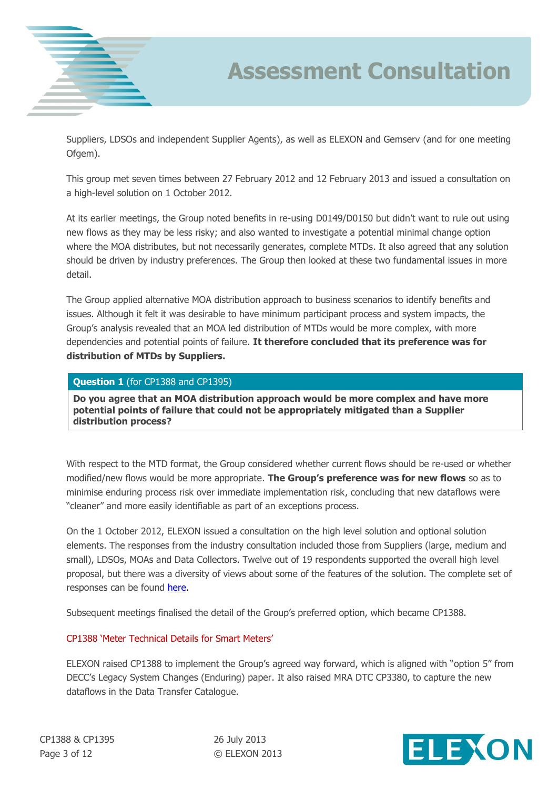

Suppliers, LDSOs and independent Supplier Agents), as well as ELEXON and Gemserv (and for one meeting Ofgem).

This group met seven times between 27 February 2012 and 12 February 2013 and issued a consultation on a high-level solution on 1 October 2012.

At its earlier meetings, the Group noted benefits in re-using D0149/D0150 but didn't want to rule out using new flows as they may be less risky; and also wanted to investigate a potential minimal change option where the MOA distributes, but not necessarily generates, complete MTDs. It also agreed that any solution should be driven by industry preferences. The Group then looked at these two fundamental issues in more detail.

The Group applied alternative MOA distribution approach to business scenarios to identify benefits and issues. Although it felt it was desirable to have minimum participant process and system impacts, the Group's analysis revealed that an MOA led distribution of MTDs would be more complex, with more dependencies and potential points of failure. **It therefore concluded that its preference was for distribution of MTDs by Suppliers.**

### **Question 1** (for CP1388 and CP1395)

**Do you agree that an MOA distribution approach would be more complex and have more potential points of failure that could not be appropriately mitigated than a Supplier distribution process?**

With respect to the MTD format, the Group considered whether current flows should be re-used or whether modified/new flows would be more appropriate. **The Group's preference was for new flows** so as to minimise enduring process risk over immediate implementation risk, concluding that new dataflows were "cleaner" and more easily identifiable as part of an exceptions process.

On the 1 October 2012, ELEXON issued a consultation on the high level solution and optional solution elements. The responses from the industry consultation included those from Suppliers (large, medium and small), LDSOs, MOAs and Data Collectors. Twelve out of 19 respondents supported the overall high level proposal, but there was a diversity of views about some of the features of the solution. The complete set of responses can be found [here.](http://www.elexon.co.uk/wp-content/uploads/2012/10/Smart-MTD-consultation-responses.pdf)

Subsequent meetings finalised the detail of the Group's preferred option, which became CP1388.

### CP1388 'Meter Technical Details for Smart Meters'

ELEXON raised CP1388 to implement the Group's agreed way forward, which is aligned with "option 5" from DECC's Legacy System Changes (Enduring) paper. It also raised MRA DTC CP3380, to capture the new dataflows in the Data Transfer Catalogue.

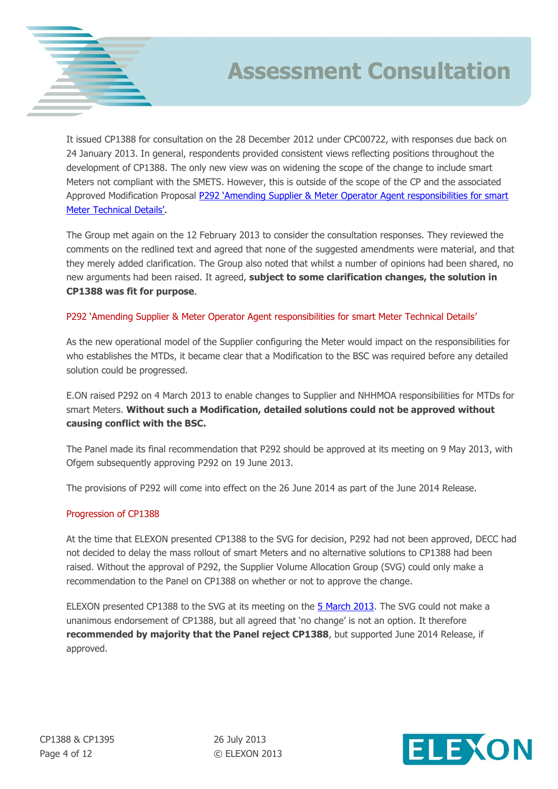

It issued CP1388 for consultation on the 28 December 2012 under CPC00722, with responses due back on 24 January 2013. In general, respondents provided consistent views reflecting positions throughout the development of CP1388. The only new view was on widening the scope of the change to include smart Meters not compliant with the SMETS. However, this is outside of the scope of the CP and the associated Approved Modification Proposal P292 'Amending Supplier & Meter Operator Agent responsibilities for smart [Meter Technical Details'](http://www.elexon.co.uk/mod-proposal/p292/).

The Group met again on the 12 February 2013 to consider the consultation responses. They reviewed the comments on the redlined text and agreed that none of the suggested amendments were material, and that they merely added clarification. The Group also noted that whilst a number of opinions had been shared, no new arguments had been raised. It agreed, **subject to some clarification changes, the solution in CP1388 was fit for purpose**.

#### P292 'Amending Supplier & Meter Operator Agent responsibilities for smart Meter Technical Details'

As the new operational model of the Supplier configuring the Meter would impact on the responsibilities for who establishes the MTDs, it became clear that a Modification to the BSC was required before any detailed solution could be progressed.

E.ON raised P292 on 4 March 2013 to enable changes to Supplier and NHHMOA responsibilities for MTDs for smart Meters. **Without such a Modification, detailed solutions could not be approved without causing conflict with the BSC.**

The Panel made its final recommendation that P292 should be approved at its meeting on 9 May 2013, with Ofgem subsequently approving P292 on 19 June 2013.

The provisions of P292 will come into effect on the 26 June 2014 as part of the June 2014 Release.

#### Progression of CP1388

At the time that ELEXON presented CP1388 to the SVG for decision, P292 had not been approved, DECC had not decided to delay the mass rollout of smart Meters and no alternative solutions to CP1388 had been raised. Without the approval of P292, the Supplier Volume Allocation Group (SVG) could only make a recommendation to the Panel on CP1388 on whether or not to approve the change.

ELEXON presented CP1388 to the SVG at its meeting on the [5 March 2013.](http://www.elexon.co.uk/meeting/svg-145/) The SVG could not make a unanimous endorsement of CP1388, but all agreed that 'no change' is not an option. It therefore **recommended by majority that the Panel reject CP1388**, but supported June 2014 Release, if approved.

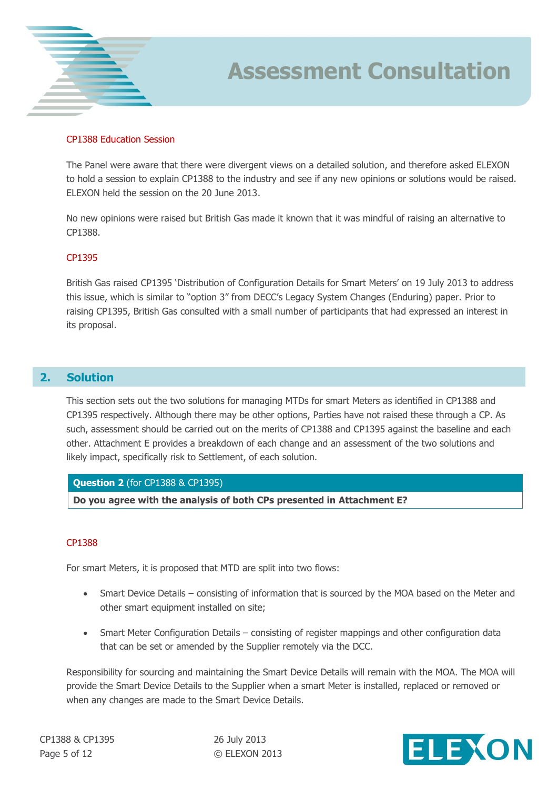

#### CP1388 Education Session

The Panel were aware that there were divergent views on a detailed solution, and therefore asked ELEXON to hold a session to explain CP1388 to the industry and see if any new opinions or solutions would be raised. ELEXON held the session on the 20 June 2013.

No new opinions were raised but British Gas made it known that it was mindful of raising an alternative to CP1388.

#### CP1395

British Gas raised CP1395 'Distribution of Configuration Details for Smart Meters' on 19 July 2013 to address this issue, which is similar to "option 3" from DECC's Legacy System Changes (Enduring) paper. Prior to raising CP1395, British Gas consulted with a small number of participants that had expressed an interest in its proposal.

## **2. Solution**

This section sets out the two solutions for managing MTDs for smart Meters as identified in CP1388 and CP1395 respectively. Although there may be other options, Parties have not raised these through a CP. As such, assessment should be carried out on the merits of CP1388 and CP1395 against the baseline and each other. Attachment E provides a breakdown of each change and an assessment of the two solutions and likely impact, specifically risk to Settlement, of each solution.

#### **Question 2** (for CP1388 & CP1395)

**Do you agree with the analysis of both CPs presented in Attachment E?**

#### CP1388

For smart Meters, it is proposed that MTD are split into two flows:

- Smart Device Details consisting of information that is sourced by the MOA based on the Meter and other smart equipment installed on site;
- Smart Meter Configuration Details consisting of register mappings and other configuration data that can be set or amended by the Supplier remotely via the DCC.

Responsibility for sourcing and maintaining the Smart Device Details will remain with the MOA. The MOA will provide the Smart Device Details to the Supplier when a smart Meter is installed, replaced or removed or when any changes are made to the Smart Device Details.

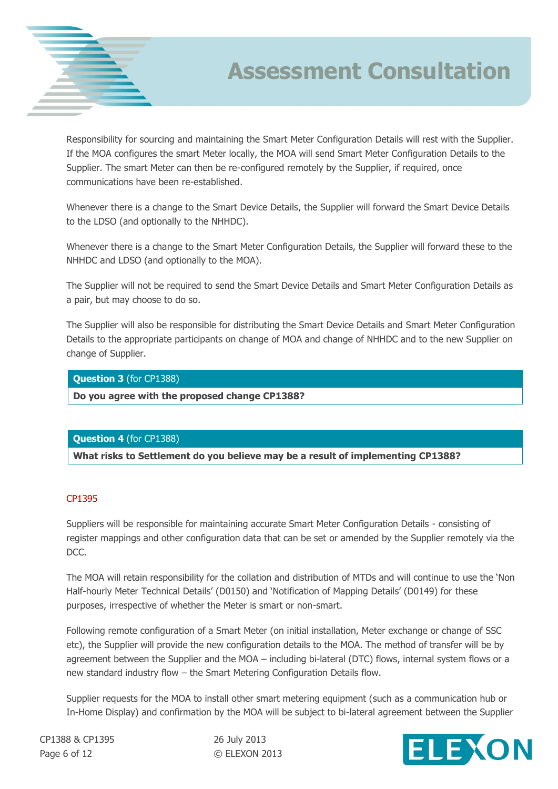

Responsibility for sourcing and maintaining the Smart Meter Configuration Details will rest with the Supplier. If the MOA configures the smart Meter locally, the MOA will send Smart Meter Configuration Details to the Supplier. The smart Meter can then be re-configured remotely by the Supplier, if required, once communications have been re-established.

Whenever there is a change to the Smart Device Details, the Supplier will forward the Smart Device Details to the LDSO (and optionally to the NHHDC).

Whenever there is a change to the Smart Meter Configuration Details, the Supplier will forward these to the NHHDC and LDSO (and optionally to the MOA).

The Supplier will not be required to send the Smart Device Details and Smart Meter Configuration Details as a pair, but may choose to do so.

The Supplier will also be responsible for distributing the Smart Device Details and Smart Meter Configuration Details to the appropriate participants on change of MOA and change of NHHDC and to the new Supplier on change of Supplier.

**Question 3** (for CP1388)

**Do you agree with the proposed change CP1388?**

### **Question 4** (for CP1388)

**What risks to Settlement do you believe may be a result of implementing CP1388?**

## CP1395

Suppliers will be responsible for maintaining accurate Smart Meter Configuration Details - consisting of register mappings and other configuration data that can be set or amended by the Supplier remotely via the DCC.

The MOA will retain responsibility for the collation and distribution of MTDs and will continue to use the 'Non Half-hourly Meter Technical Details' (D0150) and 'Notification of Mapping Details' (D0149) for these purposes, irrespective of whether the Meter is smart or non-smart.

Following remote configuration of a Smart Meter (on initial installation, Meter exchange or change of SSC etc), the Supplier will provide the new configuration details to the MOA. The method of transfer will be by agreement between the Supplier and the MOA – including bi-lateral (DTC) flows, internal system flows or a new standard industry flow – the Smart Metering Configuration Details flow.

Supplier requests for the MOA to install other smart metering equipment (such as a communication hub or In-Home Display) and confirmation by the MOA will be subject to bi-lateral agreement between the Supplier

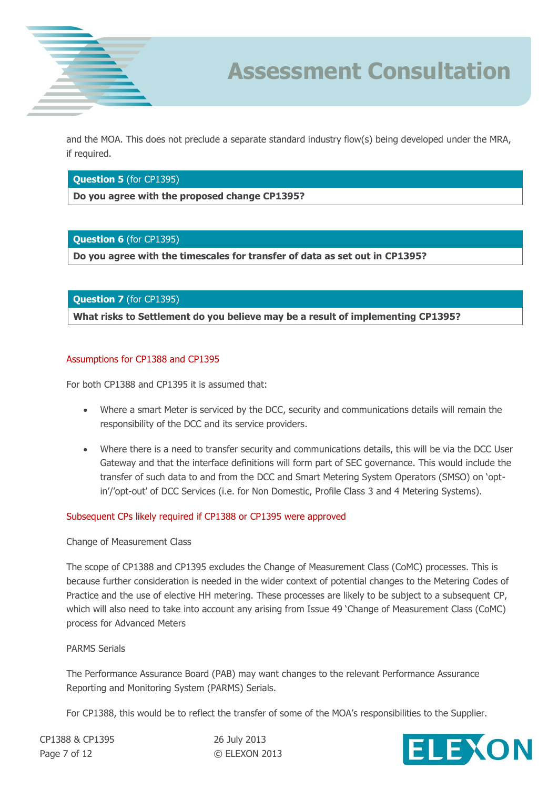

and the MOA. This does not preclude a separate standard industry flow(s) being developed under the MRA, if required.

#### **Question 5** (for CP1395)

**Do you agree with the proposed change CP1395?**

### **Question 6** (for CP1395)

**Do you agree with the timescales for transfer of data as set out in CP1395?**

### **Question 7** (for CP1395)

**What risks to Settlement do you believe may be a result of implementing CP1395?**

### Assumptions for CP1388 and CP1395

For both CP1388 and CP1395 it is assumed that:

- Where a smart Meter is serviced by the DCC, security and communications details will remain the responsibility of the DCC and its service providers.
- Where there is a need to transfer security and communications details, this will be via the DCC User Gateway and that the interface definitions will form part of SEC governance. This would include the transfer of such data to and from the DCC and Smart Metering System Operators (SMSO) on 'optin'/'opt-out' of DCC Services (i.e. for Non Domestic, Profile Class 3 and 4 Metering Systems).

### Subsequent CPs likely required if CP1388 or CP1395 were approved

#### Change of Measurement Class

The scope of CP1388 and CP1395 excludes the Change of Measurement Class (CoMC) processes. This is because further consideration is needed in the wider context of potential changes to the Metering Codes of Practice and the use of elective HH metering. These processes are likely to be subject to a subsequent CP, which will also need to take into account any arising from Issue 49 'Change of Measurement Class (CoMC) process for Advanced Meters

#### PARMS Serials

The Performance Assurance Board (PAB) may want changes to the relevant Performance Assurance Reporting and Monitoring System (PARMS) Serials.

For CP1388, this would be to reflect the transfer of some of the MOA's responsibilities to the Supplier.

CP1388 & CP1395 26 July 2013 Page 7 of 12 © ELEXON 2013

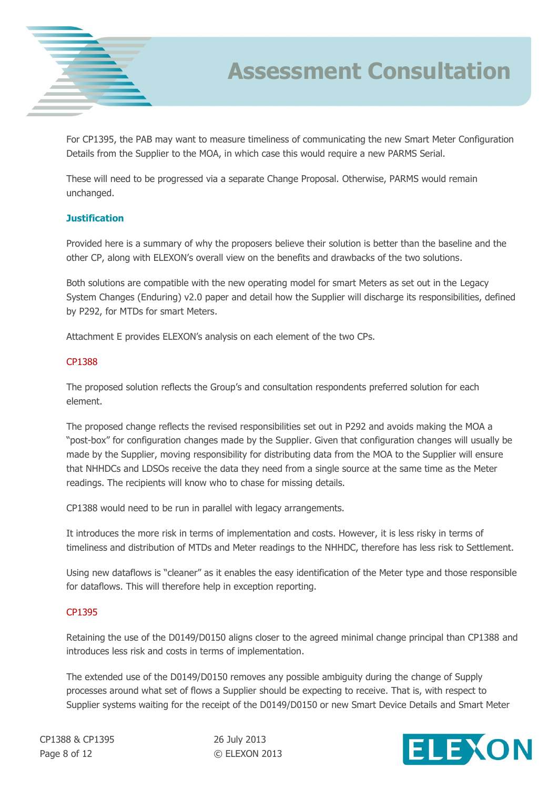

For CP1395, the PAB may want to measure timeliness of communicating the new Smart Meter Configuration Details from the Supplier to the MOA, in which case this would require a new PARMS Serial.

These will need to be progressed via a separate Change Proposal. Otherwise, PARMS would remain unchanged.

#### **Justification**

Provided here is a summary of why the proposers believe their solution is better than the baseline and the other CP, along with ELEXON's overall view on the benefits and drawbacks of the two solutions.

Both solutions are compatible with the new operating model for smart Meters as set out in the Legacy System Changes (Enduring) v2.0 paper and detail how the Supplier will discharge its responsibilities, defined by P292, for MTDs for smart Meters.

Attachment E provides ELEXON's analysis on each element of the two CPs.

### CP1388

The proposed solution reflects the Group's and consultation respondents preferred solution for each element.

The proposed change reflects the revised responsibilities set out in P292 and avoids making the MOA a "post-box" for configuration changes made by the Supplier. Given that configuration changes will usually be made by the Supplier, moving responsibility for distributing data from the MOA to the Supplier will ensure that NHHDCs and LDSOs receive the data they need from a single source at the same time as the Meter readings. The recipients will know who to chase for missing details.

CP1388 would need to be run in parallel with legacy arrangements.

It introduces the more risk in terms of implementation and costs. However, it is less risky in terms of timeliness and distribution of MTDs and Meter readings to the NHHDC, therefore has less risk to Settlement.

Using new dataflows is "cleaner" as it enables the easy identification of the Meter type and those responsible for dataflows. This will therefore help in exception reporting.

#### CP1395

Retaining the use of the D0149/D0150 aligns closer to the agreed minimal change principal than CP1388 and introduces less risk and costs in terms of implementation.

The extended use of the D0149/D0150 removes any possible ambiguity during the change of Supply processes around what set of flows a Supplier should be expecting to receive. That is, with respect to Supplier systems waiting for the receipt of the D0149/D0150 or new Smart Device Details and Smart Meter

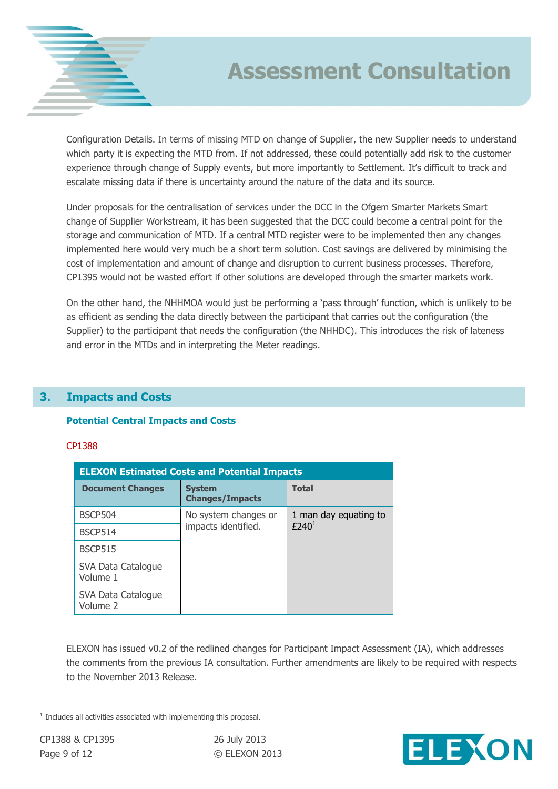

Configuration Details. In terms of missing MTD on change of Supplier, the new Supplier needs to understand which party it is expecting the MTD from. If not addressed, these could potentially add risk to the customer experience through change of Supply events, but more importantly to Settlement. It's difficult to track and escalate missing data if there is uncertainty around the nature of the data and its source.

Under proposals for the centralisation of services under the DCC in the Ofgem Smarter Markets Smart change of Supplier Workstream, it has been suggested that the DCC could become a central point for the storage and communication of MTD. If a central MTD register were to be implemented then any changes implemented here would very much be a short term solution. Cost savings are delivered by minimising the cost of implementation and amount of change and disruption to current business processes. Therefore, CP1395 would not be wasted effort if other solutions are developed through the smarter markets work.

On the other hand, the NHHMOA would just be performing a 'pass through' function, which is unlikely to be as efficient as sending the data directly between the participant that carries out the configuration (the Supplier) to the participant that needs the configuration (the NHHDC). This introduces the risk of lateness and error in the MTDs and in interpreting the Meter readings.

## **3. Impacts and Costs**

### **Potential Central Impacts and Costs**

### CP1388

| <b>ELEXON Estimated Costs and Potential Impacts</b> |                                             |                                   |  |  |
|-----------------------------------------------------|---------------------------------------------|-----------------------------------|--|--|
| <b>Document Changes</b>                             | <b>System</b><br><b>Changes/Impacts</b>     | <b>Total</b>                      |  |  |
| <b>BSCP504</b>                                      | No system changes or<br>impacts identified. | 1 man day equating to<br>£240 $1$ |  |  |
| <b>BSCP514</b>                                      |                                             |                                   |  |  |
| <b>BSCP515</b>                                      |                                             |                                   |  |  |
| SVA Data Catalogue<br>Volume 1                      |                                             |                                   |  |  |
| SVA Data Catalogue<br>Volume 2                      |                                             |                                   |  |  |

ELEXON has issued v0.2 of the redlined changes for Participant Impact Assessment (IA), which addresses the comments from the previous IA consultation. Further amendments are likely to be required with respects to the November 2013 Release.

 $\overline{a}$ 



<sup>&</sup>lt;sup>1</sup> Includes all activities associated with implementing this proposal.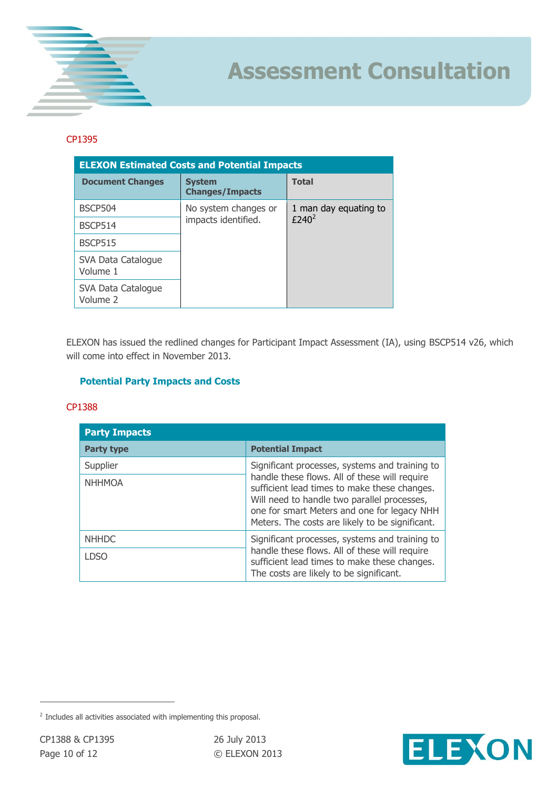

## CP1395

| <b>ELEXON Estimated Costs and Potential Impacts</b> |                                             |                                   |  |  |
|-----------------------------------------------------|---------------------------------------------|-----------------------------------|--|--|
| <b>Document Changes</b>                             | <b>System</b><br><b>Changes/Impacts</b>     | <b>Total</b>                      |  |  |
| <b>BSCP504</b>                                      | No system changes or<br>impacts identified. | 1 man day equating to<br>£240 $2$ |  |  |
| <b>BSCP514</b>                                      |                                             |                                   |  |  |
| <b>BSCP515</b>                                      |                                             |                                   |  |  |
| SVA Data Catalogue<br>Volume 1                      |                                             |                                   |  |  |
| SVA Data Catalogue<br>Volume 2                      |                                             |                                   |  |  |

ELEXON has issued the redlined changes for Participant Impact Assessment (IA), using BSCP514 v26, which will come into effect in November 2013.

## **Potential Party Impacts and Costs**

## CP1388

| <b>Party Impacts</b> |                                                                                                                                                                                                                                                |  |
|----------------------|------------------------------------------------------------------------------------------------------------------------------------------------------------------------------------------------------------------------------------------------|--|
| <b>Party type</b>    | <b>Potential Impact</b>                                                                                                                                                                                                                        |  |
| Supplier             | Significant processes, systems and training to                                                                                                                                                                                                 |  |
| <b>NHHMOA</b>        | handle these flows. All of these will require<br>sufficient lead times to make these changes.<br>Will need to handle two parallel processes,<br>one for smart Meters and one for legacy NHH<br>Meters. The costs are likely to be significant. |  |
| <b>NHHDC</b>         | Significant processes, systems and training to                                                                                                                                                                                                 |  |
| LDSO                 | handle these flows. All of these will require<br>sufficient lead times to make these changes.<br>The costs are likely to be significant.                                                                                                       |  |

 $\overline{a}$ 



<sup>&</sup>lt;sup>2</sup> Includes all activities associated with implementing this proposal.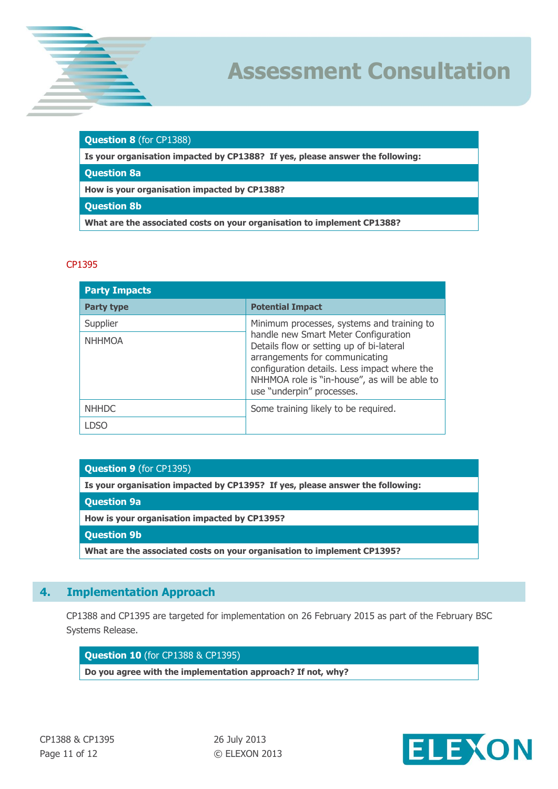

### **Question 8** (for CP1388)

**Is your organisation impacted by CP1388? If yes, please answer the following:**

**Question 8a**

**How is your organisation impacted by CP1388?**

**Question 8b**

**What are the associated costs on your organisation to implement CP1388?**

#### CP1395

| <b>Party Impacts</b> |                                                                                                                                                                                                                                                  |
|----------------------|--------------------------------------------------------------------------------------------------------------------------------------------------------------------------------------------------------------------------------------------------|
| <b>Party type</b>    | <b>Potential Impact</b>                                                                                                                                                                                                                          |
| Supplier             | Minimum processes, systems and training to                                                                                                                                                                                                       |
| <b>NHHMOA</b>        | handle new Smart Meter Configuration<br>Details flow or setting up of bi-lateral<br>arrangements for communicating<br>configuration details. Less impact where the<br>NHHMOA role is "in-house", as will be able to<br>use "underpin" processes. |
| <b>NHHDC</b>         | Some training likely to be required.                                                                                                                                                                                                             |
| I DSC                |                                                                                                                                                                                                                                                  |

### **Question 9** (for CP1395)

**Is your organisation impacted by CP1395? If yes, please answer the following:**

**Question 9a**

**How is your organisation impacted by CP1395?**

**Question 9b**

**What are the associated costs on your organisation to implement CP1395?**

## **4. Implementation Approach**

CP1388 and CP1395 are targeted for implementation on 26 February 2015 as part of the February BSC Systems Release.

#### **Question 10** (for CP1388 & CP1395)

**Do you agree with the implementation approach? If not, why?**